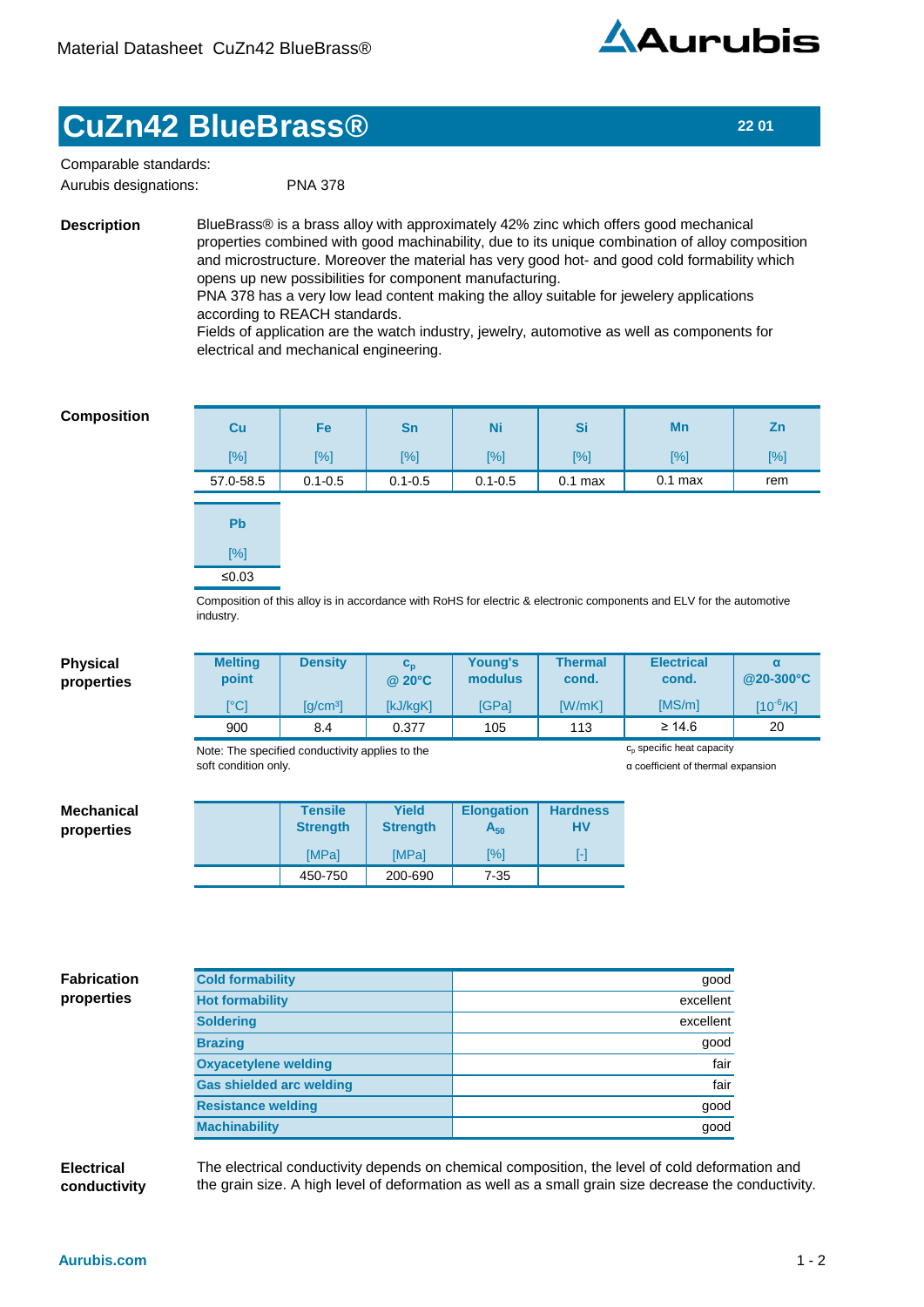

## **CuZn42 BlueBrass® 22 01**

 PNA 378 Comparable standards: Aurubis designations:

**Description**

BlueBrass® is a brass alloy with approximately 42% zinc which offers good mechanical properties combined with good machinability, due to its unique combination of alloy composition and microstructure. Moreover the material has very good hot- and good cold formability which opens up new possibilities for component manufacturing.

PNA 378 has a very low lead content making the alloy suitable for jewelery applications according to REACH standards.

Fields of application are the watch industry, jewelry, automotive as well as components for electrical and mechanical engineering.

## **Composition**

| <b>Cu</b> | Fe          | <b>Sn</b>   | <b>Ni</b>   | Si        | Mn                                                                                                                   | Zn  |
|-----------|-------------|-------------|-------------|-----------|----------------------------------------------------------------------------------------------------------------------|-----|
| [%]       | $[\%]$      | [%]         | [%]         | [%]       | [%]                                                                                                                  | [%] |
| 57.0-58.5 | $0.1 - 0.5$ | $0.1 - 0.5$ | $0.1 - 0.5$ | $0.1$ max | $0.1$ max                                                                                                            | rem |
|           |             |             |             |           |                                                                                                                      |     |
| <b>Pb</b> |             |             |             |           |                                                                                                                      |     |
| $[\%]$    |             |             |             |           |                                                                                                                      |     |
| ≤0.03     |             |             |             |           |                                                                                                                      |     |
|           |             |             |             |           | Composition of this alloy is in accordance with RoHS for electric & electronic components and ELV for the automotive |     |

Composition of this alloy is in accordance with RoHS for electric & electronic components and ELV for the automotive industry.

| <b>Physical</b>    | <b>Melting</b>                  | <b>Density</b>                                  | $c_{p}$         | Young's                            | <b>Thermal</b>  | <b>Electrical</b>                     | $\alpha$      |  |
|--------------------|---------------------------------|-------------------------------------------------|-----------------|------------------------------------|-----------------|---------------------------------------|---------------|--|
| properties         | point                           |                                                 | @ 20°C          | modulus                            | cond.           | cond.                                 | @20-300°C     |  |
|                    | [°C]                            | [g/cm <sup>3</sup> ]                            | [kJ/kgK]        | [GPa]                              | [W/mK]          | [MS/m]                                | $[10^{-6}/K]$ |  |
|                    | 900                             | 8.4                                             | 0.377           | 105                                | 113             | $\geq 14.6$                           | 20            |  |
|                    |                                 | Note: The specified conductivity applies to the |                 |                                    |                 | c <sub>p</sub> specific heat capacity |               |  |
|                    | soft condition only.            |                                                 |                 | a coefficient of thermal expansion |                 |                                       |               |  |
|                    |                                 |                                                 |                 |                                    |                 |                                       |               |  |
| <b>Mechanical</b>  |                                 | <b>Tensile</b>                                  | <b>Yield</b>    | <b>Elongation</b>                  | <b>Hardness</b> |                                       |               |  |
| properties         |                                 | <b>Strength</b>                                 | <b>Strength</b> | $A_{50}$                           | <b>HV</b>       |                                       |               |  |
|                    |                                 | [MPa]                                           | [MPa]           | [%]                                | $[ - ]$         |                                       |               |  |
|                    |                                 | 450-750                                         | 200-690         | $7 - 35$                           |                 |                                       |               |  |
|                    |                                 |                                                 |                 |                                    |                 |                                       |               |  |
|                    |                                 |                                                 |                 |                                    |                 |                                       |               |  |
|                    |                                 |                                                 |                 |                                    |                 |                                       |               |  |
|                    |                                 |                                                 |                 |                                    |                 |                                       |               |  |
| <b>Fabrication</b> | <b>Cold formability</b>         |                                                 |                 |                                    |                 | good                                  |               |  |
| properties         | <b>Hot formability</b>          |                                                 |                 | excellent                          |                 |                                       |               |  |
|                    | <b>Soldering</b>                |                                                 |                 | excellent                          |                 |                                       |               |  |
|                    | <b>Brazing</b>                  |                                                 |                 | good                               |                 |                                       |               |  |
|                    | <b>Oxyacetylene welding</b>     |                                                 |                 | fair                               |                 |                                       |               |  |
|                    | <b>Gas shielded arc welding</b> |                                                 |                 | fair                               |                 |                                       |               |  |
|                    | <b>Resistance welding</b>       |                                                 |                 | good                               |                 |                                       |               |  |
|                    | <b>Machinability</b>            |                                                 |                 | good                               |                 |                                       |               |  |
|                    |                                 |                                                 |                 |                                    |                 |                                       |               |  |

**Electrical conductivity** The electrical conductivity depends on chemical composition, the level of cold deformation and the grain size. A high level of deformation as well as a small grain size decrease the conductivity.